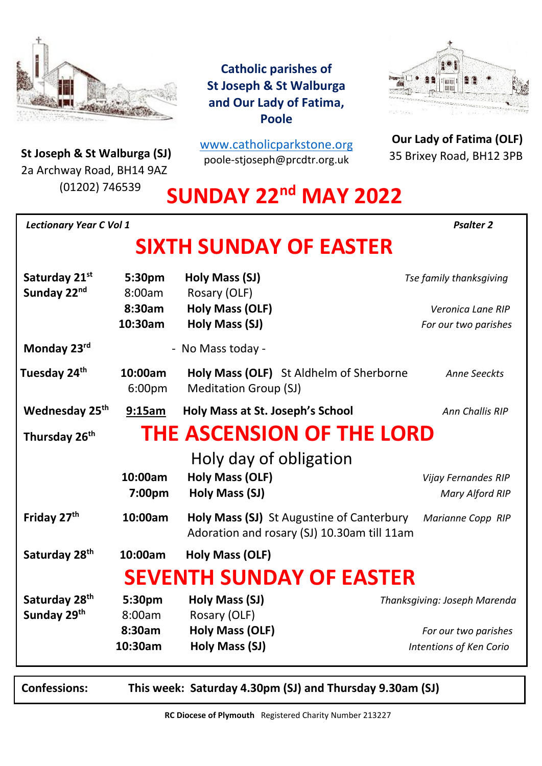

**St Joseph & St Walburga (SJ)**<br>23 Archway Road, BH14 9A7 2a Archway Road, BH14 9AZ (01202) 746539

**Catholic parishes of St Joseph & St Walburga and Our Lady of Fatima, Poole**

[www.catholicparkstone.o](http://www.catholicparkstone.org/)[rg](http://www.catholicparkstone.org/) poole-stjoseph@prcdtr.org.uk



**Our Lady of Fatima (OLF)** 35 Brixey Road, BH12 3PB

# **SUNDAY 22nd MAY 2022**

| <b>Lectionary Year C Vol 1</b>                                |                                       |                                                                                          | <b>Psalter 2</b>                                                                |
|---------------------------------------------------------------|---------------------------------------|------------------------------------------------------------------------------------------|---------------------------------------------------------------------------------|
|                                                               |                                       | <b>SIXTH SUNDAY OF EASTER</b>                                                            |                                                                                 |
| Saturday 21st<br>Sunday 22nd                                  | 5:30pm<br>8:00am<br>8:30am<br>10:30am | Holy Mass (SJ)<br>Rosary (OLF)<br><b>Holy Mass (OLF)</b><br>Holy Mass (SJ)               | Tse family thanksgiving<br>Veronica Lane RIP<br>For our two parishes            |
| Monday 23rd                                                   |                                       | - No Mass today -                                                                        |                                                                                 |
| Tuesday 24 <sup>th</sup>                                      | 10:00am<br>6:00 <sub>pm</sub>         | Holy Mass (OLF) St Aldhelm of Sherborne<br><b>Meditation Group (SJ)</b>                  | Anne Seeckts                                                                    |
| Wednesday 25th                                                | 9:15am                                | Holy Mass at St. Joseph's School                                                         | Ann Challis RIP                                                                 |
| <b>THE ASCENSION OF THE LORD</b><br>Thursday 26 <sup>th</sup> |                                       |                                                                                          |                                                                                 |
|                                                               | 10:00am<br>7:00pm                     | Holy day of obligation<br><b>Holy Mass (OLF)</b><br>Holy Mass (SJ)                       | Vijay Fernandes RIP<br><b>Mary Alford RIP</b>                                   |
| Friday 27 <sup>th</sup>                                       | 10:00am                               | Holy Mass (SJ) St Augustine of Canterbury<br>Adoration and rosary (SJ) 10.30am till 11am | Marianne Copp RIP                                                               |
| Saturday 28 <sup>th</sup>                                     | 10:00am                               | Holy Mass (OLF)                                                                          |                                                                                 |
|                                                               |                                       | <b>SEVENTH SUNDAY OF EASTER</b>                                                          |                                                                                 |
| Saturday 28 <sup>th</sup><br>Sunday 29th                      | 5:30pm<br>8:00am<br>8:30am<br>10:30am | Holy Mass (SJ)<br>Rosary (OLF)<br>Holy Mass (OLF)<br>Holy Mass (SJ)                      | Thanksgiving: Joseph Marenda<br>For our two parishes<br>Intentions of Ken Corio |

**Confessions: This week: Saturday 4.30pm (SJ) and Thursday 9.30am (SJ)**